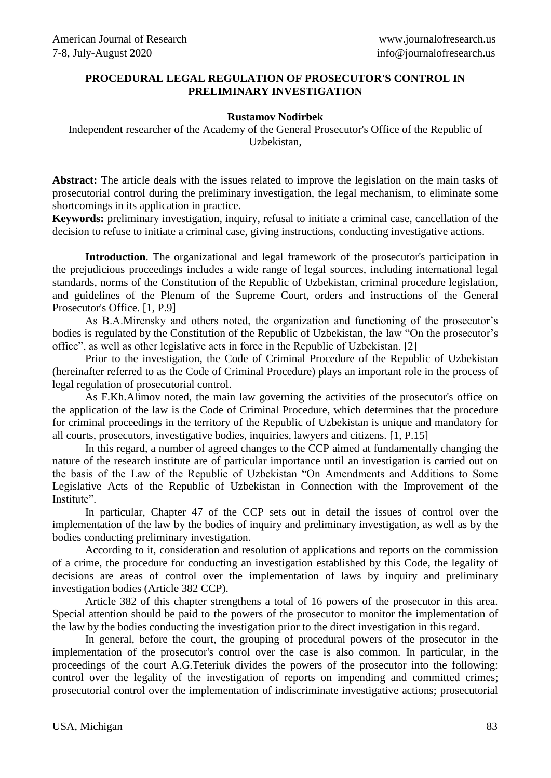## **PROCEDURAL LEGAL REGULATION OF PROSECUTOR'S CONTROL IN PRELIMINARY INVESTIGATION**

## **Rustamov Nodirbek**

Independent researcher of the Academy of the General Prosecutor's Office of the Republic of Uzbekistan,

**Abstract:** The article deals with the issues related to improve the legislation on the main tasks of prosecutorial control during the preliminary investigation, the legal mechanism, to eliminate some shortcomings in its application in practice.

**Keywords:** preliminary investigation, inquiry, refusal to initiate a criminal case, cancellation of the decision to refuse to initiate a criminal case, giving instructions, conducting investigative actions.

**Introduction**. The organizational and legal framework of the prosecutor's participation in the prejudicious proceedings includes a wide range of legal sources, including international legal standards, norms of the Constitution of the Republic of Uzbekistan, criminal procedure legislation, and guidelines of the Plenum of the Supreme Court, orders and instructions of the General Prosecutor's Office. [1, P.9]

As B.A.Mirensky and others noted, the organization and functioning of the prosecutor's bodies is regulated by the Constitution of the Republic of Uzbekistan, the law "On the prosecutor's office", as well as other legislative acts in force in the Republic of Uzbekistan. [2]

Prior to the investigation, the Code of Criminal Procedure of the Republic of Uzbekistan (hereinafter referred to as the Code of Criminal Procedure) plays an important role in the process of legal regulation of prosecutorial control.

As F.Kh.Alimov noted, the main law governing the activities of the prosecutor's office on the application of the law is the Code of Criminal Procedure, which determines that the procedure for criminal proceedings in the territory of the Republic of Uzbekistan is unique and mandatory for all courts, prosecutors, investigative bodies, inquiries, lawyers and citizens. [1, P.15]

In this regard, a number of agreed changes to the CCP aimed at fundamentally changing the nature of the research institute are of particular importance until an investigation is carried out on the basis of the Law of the Republic of Uzbekistan "On Amendments and Additions to Some Legislative Acts of the Republic of Uzbekistan in Connection with the Improvement of the Institute".

In particular, Chapter 47 of the CCP sets out in detail the issues of control over the implementation of the law by the bodies of inquiry and preliminary investigation, as well as by the bodies conducting preliminary investigation.

According to it, consideration and resolution of applications and reports on the commission of a crime, the procedure for conducting an investigation established by this Code, the legality of decisions are areas of control over the implementation of laws by inquiry and preliminary investigation bodies (Article 382 CCP).

Article 382 of this chapter strengthens a total of 16 powers of the prosecutor in this area. Special attention should be paid to the powers of the prosecutor to monitor the implementation of the law by the bodies conducting the investigation prior to the direct investigation in this regard.

In general, before the court, the grouping of procedural powers of the prosecutor in the implementation of the prosecutor's control over the case is also common. In particular, in the proceedings of the court A.G.Teteriuk divides the powers of the prosecutor into the following: control over the legality of the investigation of reports on impending and committed crimes; prosecutorial control over the implementation of indiscriminate investigative actions; prosecutorial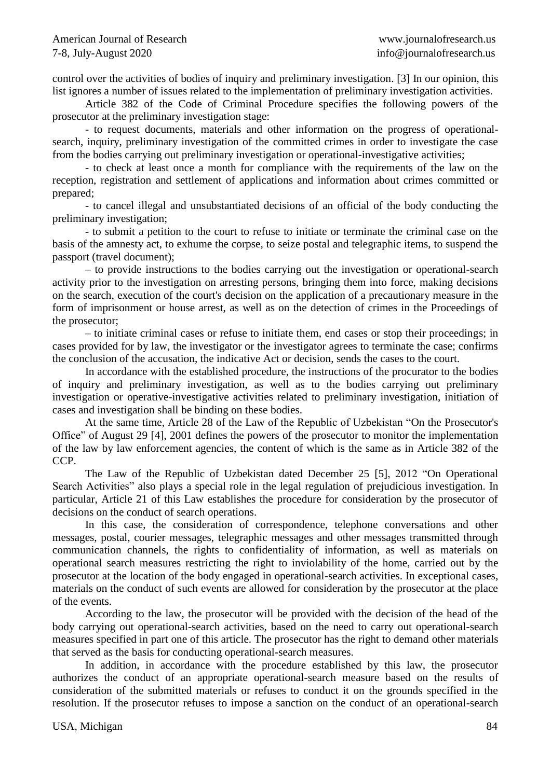control over the activities of bodies of inquiry and preliminary investigation. [3] In our opinion, this list ignores a number of issues related to the implementation of preliminary investigation activities.

Article 382 of the Code of Criminal Procedure specifies the following powers of the prosecutor at the preliminary investigation stage:

- to request documents, materials and other information on the progress of operationalsearch, inquiry, preliminary investigation of the committed crimes in order to investigate the case from the bodies carrying out preliminary investigation or operational-investigative activities;

- to check at least once a month for compliance with the requirements of the law on the reception, registration and settlement of applications and information about crimes committed or prepared;

- to cancel illegal and unsubstantiated decisions of an official of the body conducting the preliminary investigation;

- to submit a petition to the court to refuse to initiate or terminate the criminal case on the basis of the amnesty act, to exhume the corpse, to seize postal and telegraphic items, to suspend the passport (travel document);

– to provide instructions to the bodies carrying out the investigation or operational-search activity prior to the investigation on arresting persons, bringing them into force, making decisions on the search, execution of the court's decision on the application of a precautionary measure in the form of imprisonment or house arrest, as well as on the detection of crimes in the Proceedings of the prosecutor;

– to initiate criminal cases or refuse to initiate them, end cases or stop their proceedings; in cases provided for by law, the investigator or the investigator agrees to terminate the case; confirms the conclusion of the accusation, the indicative Act or decision, sends the cases to the court.

In accordance with the established procedure, the instructions of the procurator to the bodies of inquiry and preliminary investigation, as well as to the bodies carrying out preliminary investigation or operative-investigative activities related to preliminary investigation, initiation of cases and investigation shall be binding on these bodies.

At the same time, Article 28 of the Law of the Republic of Uzbekistan "On the Prosecutor's Office" of August 29 [4], 2001 defines the powers of the prosecutor to monitor the implementation of the law by law enforcement agencies, the content of which is the same as in Article 382 of the CCP.

The Law of the Republic of Uzbekistan dated December 25 [5], 2012 "On Operational Search Activities" also plays a special role in the legal regulation of prejudicious investigation. In particular, Article 21 of this Law establishes the procedure for consideration by the prosecutor of decisions on the conduct of search operations.

In this case, the consideration of correspondence, telephone conversations and other messages, postal, courier messages, telegraphic messages and other messages transmitted through communication channels, the rights to confidentiality of information, as well as materials on operational search measures restricting the right to inviolability of the home, carried out by the prosecutor at the location of the body engaged in operational-search activities. In exceptional cases, materials on the conduct of such events are allowed for consideration by the prosecutor at the place of the events.

According to the law, the prosecutor will be provided with the decision of the head of the body carrying out operational-search activities, based on the need to carry out operational-search measures specified in part one of this article. The prosecutor has the right to demand other materials that served as the basis for conducting operational-search measures.

In addition, in accordance with the procedure established by this law, the prosecutor authorizes the conduct of an appropriate operational-search measure based on the results of consideration of the submitted materials or refuses to conduct it on the grounds specified in the resolution. If the prosecutor refuses to impose a sanction on the conduct of an operational-search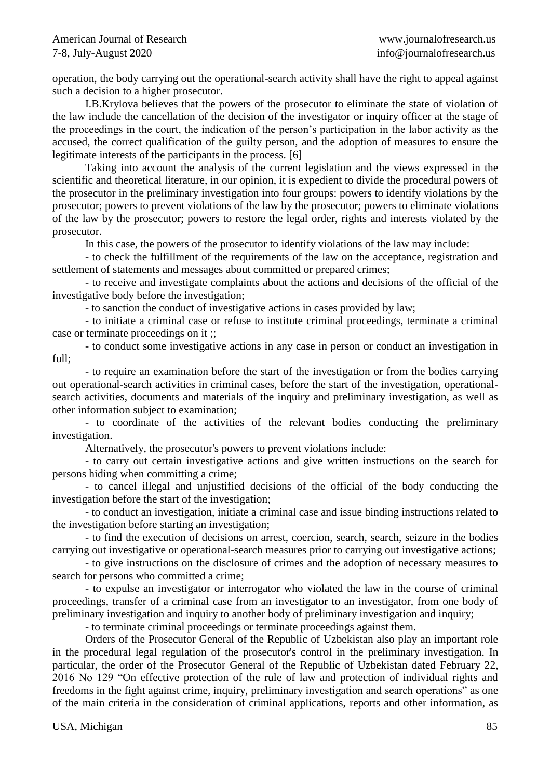operation, the body carrying out the operational-search activity shall have the right to appeal against such a decision to a higher prosecutor.

I.B.Krylova believes that the powers of the prosecutor to eliminate the state of violation of the law include the cancellation of the decision of the investigator or inquiry officer at the stage of the proceedings in the court, the indication of the person's participation in the labor activity as the accused, the correct qualification of the guilty person, and the adoption of measures to ensure the legitimate interests of the participants in the process. [6]

Taking into account the analysis of the current legislation and the views expressed in the scientific and theoretical literature, in our opinion, it is expedient to divide the procedural powers of the prosecutor in the preliminary investigation into four groups: powers to identify violations by the prosecutor; powers to prevent violations of the law by the prosecutor; powers to eliminate violations of the law by the prosecutor; powers to restore the legal order, rights and interests violated by the prosecutor.

In this case, the powers of the prosecutor to identify violations of the law may include:

- to check the fulfillment of the requirements of the law on the acceptance, registration and settlement of statements and messages about committed or prepared crimes;

- to receive and investigate complaints about the actions and decisions of the official of the investigative body before the investigation;

- to sanction the conduct of investigative actions in cases provided by law;

- to initiate a criminal case or refuse to institute criminal proceedings, terminate a criminal case or terminate proceedings on it ;;

- to conduct some investigative actions in any case in person or conduct an investigation in full;

- to require an examination before the start of the investigation or from the bodies carrying out operational-search activities in criminal cases, before the start of the investigation, operationalsearch activities, documents and materials of the inquiry and preliminary investigation, as well as other information subject to examination;

- to coordinate of the activities of the relevant bodies conducting the preliminary investigation.

Alternatively, the prosecutor's powers to prevent violations include:

- to carry out certain investigative actions and give written instructions on the search for persons hiding when committing a crime;

- to cancel illegal and unjustified decisions of the official of the body conducting the investigation before the start of the investigation;

- to conduct an investigation, initiate a criminal case and issue binding instructions related to the investigation before starting an investigation;

- to find the execution of decisions on arrest, coercion, search, search, seizure in the bodies carrying out investigative or operational-search measures prior to carrying out investigative actions;

- to give instructions on the disclosure of crimes and the adoption of necessary measures to search for persons who committed a crime;

- to expulse an investigator or interrogator who violated the law in the course of criminal proceedings, transfer of a criminal case from an investigator to an investigator, from one body of preliminary investigation and inquiry to another body of preliminary investigation and inquiry;

- to terminate criminal proceedings or terminate proceedings against them.

Orders of the Prosecutor General of the Republic of Uzbekistan also play an important role in the procedural legal regulation of the prosecutor's control in the preliminary investigation. In particular, the order of the Prosecutor General of the Republic of Uzbekistan dated February 22, 2016 No 129 "On effective protection of the rule of law and protection of individual rights and freedoms in the fight against crime, inquiry, preliminary investigation and search operations" as one of the main criteria in the consideration of criminal applications, reports and other information, as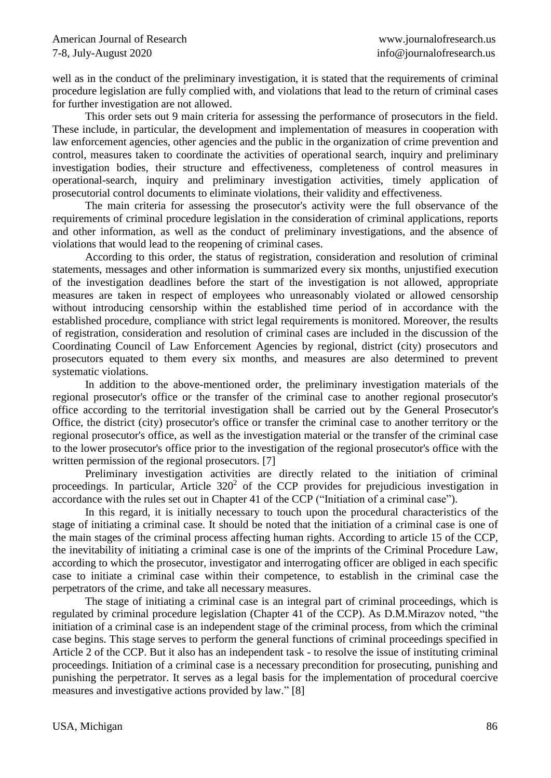well as in the conduct of the preliminary investigation, it is stated that the requirements of criminal procedure legislation are fully complied with, and violations that lead to the return of criminal cases for further investigation are not allowed.

This order sets out 9 main criteria for assessing the performance of prosecutors in the field. These include, in particular, the development and implementation of measures in cooperation with law enforcement agencies, other agencies and the public in the organization of crime prevention and control, measures taken to coordinate the activities of operational search, inquiry and preliminary investigation bodies, their structure and effectiveness, completeness of control measures in operational-search, inquiry and preliminary investigation activities, timely application of prosecutorial control documents to eliminate violations, their validity and effectiveness.

The main criteria for assessing the prosecutor's activity were the full observance of the requirements of criminal procedure legislation in the consideration of criminal applications, reports and other information, as well as the conduct of preliminary investigations, and the absence of violations that would lead to the reopening of criminal cases.

According to this order, the status of registration, consideration and resolution of criminal statements, messages and other information is summarized every six months, unjustified execution of the investigation deadlines before the start of the investigation is not allowed, appropriate measures are taken in respect of employees who unreasonably violated or allowed censorship without introducing censorship within the established time period of in accordance with the established procedure, compliance with strict legal requirements is monitored. Moreover, the results of registration, consideration and resolution of criminal cases are included in the discussion of the Coordinating Council of Law Enforcement Agencies by regional, district (city) prosecutors and prosecutors equated to them every six months, and measures are also determined to prevent systematic violations.

In addition to the above-mentioned order, the preliminary investigation materials of the regional prosecutor's office or the transfer of the criminal case to another regional prosecutor's office according to the territorial investigation shall be carried out by the General Prosecutor's Office, the district (city) prosecutor's office or transfer the criminal case to another territory or the regional prosecutor's office, as well as the investigation material or the transfer of the criminal case to the lower prosecutor's office prior to the investigation of the regional prosecutor's office with the written permission of the regional prosecutors. [7]

Preliminary investigation activities are directly related to the initiation of criminal proceedings. In particular, Article  $320<sup>2</sup>$  of the CCP provides for prejudicious investigation in accordance with the rules set out in Chapter 41 of the CCP ("Initiation of a criminal case").

In this regard, it is initially necessary to touch upon the procedural characteristics of the stage of initiating a criminal case. It should be noted that the initiation of a criminal case is one of the main stages of the criminal process affecting human rights. According to article 15 of the CCP, the inevitability of initiating a criminal case is one of the imprints of the Criminal Procedure Law, according to which the prosecutor, investigator and interrogating officer are obliged in each specific case to initiate a criminal case within their competence, to establish in the criminal case the perpetrators of the crime, and take all necessary measures.

The stage of initiating a criminal case is an integral part of criminal proceedings, which is regulated by criminal procedure legislation (Chapter 41 of the CCP). As D.M.Mirazov noted, "the initiation of a criminal case is an independent stage of the criminal process, from which the criminal case begins. This stage serves to perform the general functions of criminal proceedings specified in Article 2 of the CCP. But it also has an independent task - to resolve the issue of instituting criminal proceedings. Initiation of a criminal case is a necessary precondition for prosecuting, punishing and punishing the perpetrator. It serves as a legal basis for the implementation of procedural coercive measures and investigative actions provided by law." [8]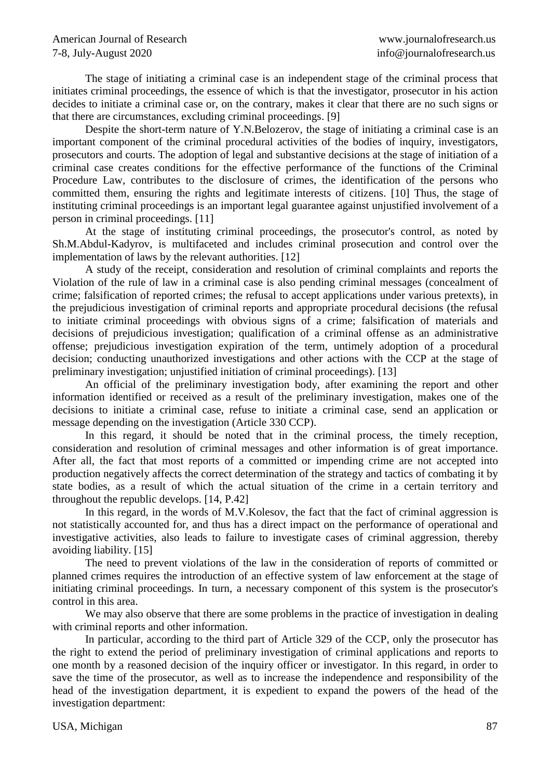The stage of initiating a criminal case is an independent stage of the criminal process that initiates criminal proceedings, the essence of which is that the investigator, prosecutor in his action decides to initiate a criminal case or, on the contrary, makes it clear that there are no such signs or that there are circumstances, excluding criminal proceedings. [9]

Despite the short-term nature of Y.N.Belozerov, the stage of initiating a criminal case is an important component of the criminal procedural activities of the bodies of inquiry, investigators, prosecutors and courts. The adoption of legal and substantive decisions at the stage of initiation of a criminal case creates conditions for the effective performance of the functions of the Criminal Procedure Law, contributes to the disclosure of crimes, the identification of the persons who committed them, ensuring the rights and legitimate interests of citizens. [10] Thus, the stage of instituting criminal proceedings is an important legal guarantee against unjustified involvement of a person in criminal proceedings. [11]

At the stage of instituting criminal proceedings, the prosecutor's control, as noted by Sh.M.Abdul-Kadyrov, is multifaceted and includes criminal prosecution and control over the implementation of laws by the relevant authorities. [12]

A study of the receipt, consideration and resolution of criminal complaints and reports the Violation of the rule of law in a criminal case is also pending criminal messages (concealment of crime; falsification of reported crimes; the refusal to accept applications under various pretexts), in the prejudicious investigation of criminal reports and appropriate procedural decisions (the refusal to initiate criminal proceedings with obvious signs of a crime; falsification of materials and decisions of prejudicious investigation; qualification of a criminal offense as an administrative offense; prejudicious investigation expiration of the term, untimely adoption of a procedural decision; conducting unauthorized investigations and other actions with the CCP at the stage of preliminary investigation; unjustified initiation of criminal proceedings). [13]

An official of the preliminary investigation body, after examining the report and other information identified or received as a result of the preliminary investigation, makes one of the decisions to initiate a criminal case, refuse to initiate a criminal case, send an application or message depending on the investigation (Article 330 CCP).

In this regard, it should be noted that in the criminal process, the timely reception, consideration and resolution of criminal messages and other information is of great importance. After all, the fact that most reports of a committed or impending crime are not accepted into production negatively affects the correct determination of the strategy and tactics of combating it by state bodies, as a result of which the actual situation of the crime in a certain territory and throughout the republic develops. [14, P.42]

In this regard, in the words of M.V.Kolesov, the fact that the fact of criminal aggression is not statistically accounted for, and thus has a direct impact on the performance of operational and investigative activities, also leads to failure to investigate cases of criminal aggression, thereby avoiding liability. [15]

The need to prevent violations of the law in the consideration of reports of committed or planned crimes requires the introduction of an effective system of law enforcement at the stage of initiating criminal proceedings. In turn, a necessary component of this system is the prosecutor's control in this area.

We may also observe that there are some problems in the practice of investigation in dealing with criminal reports and other information.

In particular, according to the third part of Article 329 of the CCP, only the prosecutor has the right to extend the period of preliminary investigation of criminal applications and reports to one month by a reasoned decision of the inquiry officer or investigator. In this regard, in order to save the time of the prosecutor, as well as to increase the independence and responsibility of the head of the investigation department, it is expedient to expand the powers of the head of the investigation department: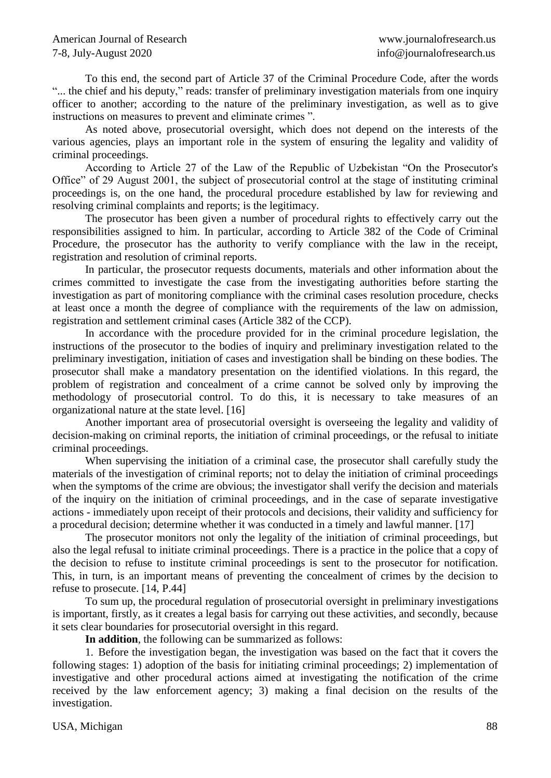To this end, the second part of Article 37 of the Criminal Procedure Code, after the words "... the chief and his deputy," reads: transfer of preliminary investigation materials from one inquiry officer to another; according to the nature of the preliminary investigation, as well as to give instructions on measures to prevent and eliminate crimes ".

As noted above, prosecutorial oversight, which does not depend on the interests of the various agencies, plays an important role in the system of ensuring the legality and validity of criminal proceedings.

According to Article 27 of the Law of the Republic of Uzbekistan "On the Prosecutor's Office" of 29 August 2001, the subject of prosecutorial control at the stage of instituting criminal proceedings is, on the one hand, the procedural procedure established by law for reviewing and resolving criminal complaints and reports; is the legitimacy.

The prosecutor has been given a number of procedural rights to effectively carry out the responsibilities assigned to him. In particular, according to Article 382 of the Code of Criminal Procedure, the prosecutor has the authority to verify compliance with the law in the receipt, registration and resolution of criminal reports.

In particular, the prosecutor requests documents, materials and other information about the crimes committed to investigate the case from the investigating authorities before starting the investigation as part of monitoring compliance with the criminal cases resolution procedure, checks at least once a month the degree of compliance with the requirements of the law on admission, registration and settlement criminal cases (Article 382 of the CCP).

In accordance with the procedure provided for in the criminal procedure legislation, the instructions of the prosecutor to the bodies of inquiry and preliminary investigation related to the preliminary investigation, initiation of cases and investigation shall be binding on these bodies. The prosecutor shall make a mandatory presentation on the identified violations. In this regard, the problem of registration and concealment of a crime cannot be solved only by improving the methodology of prosecutorial control. To do this, it is necessary to take measures of an organizational nature at the state level. [16]

Another important area of prosecutorial oversight is overseeing the legality and validity of decision-making on criminal reports, the initiation of criminal proceedings, or the refusal to initiate criminal proceedings.

When supervising the initiation of a criminal case, the prosecutor shall carefully study the materials of the investigation of criminal reports; not to delay the initiation of criminal proceedings when the symptoms of the crime are obvious; the investigator shall verify the decision and materials of the inquiry on the initiation of criminal proceedings, and in the case of separate investigative actions - immediately upon receipt of their protocols and decisions, their validity and sufficiency for a procedural decision; determine whether it was conducted in a timely and lawful manner. [17]

The prosecutor monitors not only the legality of the initiation of criminal proceedings, but also the legal refusal to initiate criminal proceedings. There is a practice in the police that a copy of the decision to refuse to institute criminal proceedings is sent to the prosecutor for notification. This, in turn, is an important means of preventing the concealment of crimes by the decision to refuse to prosecute. [14, P.44]

To sum up, the procedural regulation of prosecutorial oversight in preliminary investigations is important, firstly, as it creates a legal basis for carrying out these activities, and secondly, because it sets clear boundaries for prosecutorial oversight in this regard.

**In addition**, the following can be summarized as follows:

1. Before the investigation began, the investigation was based on the fact that it covers the following stages: 1) adoption of the basis for initiating criminal proceedings; 2) implementation of investigative and other procedural actions aimed at investigating the notification of the crime received by the law enforcement agency; 3) making a final decision on the results of the investigation.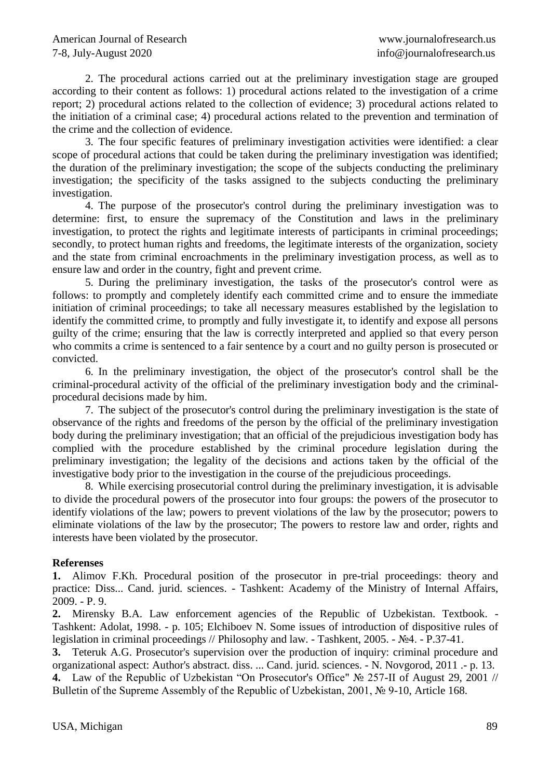2. The procedural actions carried out at the preliminary investigation stage are grouped according to their content as follows: 1) procedural actions related to the investigation of a crime report; 2) procedural actions related to the collection of evidence; 3) procedural actions related to the initiation of a criminal case; 4) procedural actions related to the prevention and termination of the crime and the collection of evidence.

3. The four specific features of preliminary investigation activities were identified: a clear scope of procedural actions that could be taken during the preliminary investigation was identified; the duration of the preliminary investigation; the scope of the subjects conducting the preliminary investigation; the specificity of the tasks assigned to the subjects conducting the preliminary investigation.

4. The purpose of the prosecutor's control during the preliminary investigation was to determine: first, to ensure the supremacy of the Constitution and laws in the preliminary investigation, to protect the rights and legitimate interests of participants in criminal proceedings; secondly, to protect human rights and freedoms, the legitimate interests of the organization, society and the state from criminal encroachments in the preliminary investigation process, as well as to ensure law and order in the country, fight and prevent crime.

5. During the preliminary investigation, the tasks of the prosecutor's control were as follows: to promptly and completely identify each committed crime and to ensure the immediate initiation of criminal proceedings; to take all necessary measures established by the legislation to identify the committed crime, to promptly and fully investigate it, to identify and expose all persons guilty of the crime; ensuring that the law is correctly interpreted and applied so that every person who commits a crime is sentenced to a fair sentence by a court and no guilty person is prosecuted or convicted.

6. In the preliminary investigation, the object of the prosecutor's control shall be the criminal-procedural activity of the official of the preliminary investigation body and the criminalprocedural decisions made by him.

7. The subject of the prosecutor's control during the preliminary investigation is the state of observance of the rights and freedoms of the person by the official of the preliminary investigation body during the preliminary investigation; that an official of the prejudicious investigation body has complied with the procedure established by the criminal procedure legislation during the preliminary investigation; the legality of the decisions and actions taken by the official of the investigative body prior to the investigation in the course of the prejudicious proceedings.

8. While exercising prosecutorial control during the preliminary investigation, it is advisable to divide the procedural powers of the prosecutor into four groups: the powers of the prosecutor to identify violations of the law; powers to prevent violations of the law by the prosecutor; powers to eliminate violations of the law by the prosecutor; The powers to restore law and order, rights and interests have been violated by the prosecutor.

## **Referenses**

**1.** Alimov F.Kh. Procedural position of the prosecutor in pre-trial proceedings: theory and practice: Diss... Cand. jurid. sciences. - Tashkent: Academy of the Ministry of Internal Affairs, 2009. - P. 9.

**2.** Mirensky B.A. Law enforcement agencies of the Republic of Uzbekistan. Textbook. - Tashkent: Adolat, 1998. - p. 105; Elchiboev N. Some issues of introduction of dispositive rules of legislation in criminal proceedings // Philosophy and law. - Tashkent, 2005. - №4. - P.37-41.

**3.** Teteruk A.G. Prosecutor's supervision over the production of inquiry: criminal procedure and organizational aspect: Author's abstract. diss. ... Cand. jurid. sciences. - N. Novgorod, 2011 .- p. 13. **4.** Law of the Republic of Uzbekistan "On Prosecutor's Office" № 257-II of August 29, 2001 //

Bulletin of the Supreme Assembly of the Republic of Uzbekistan, 2001, № 9-10, Article 168.